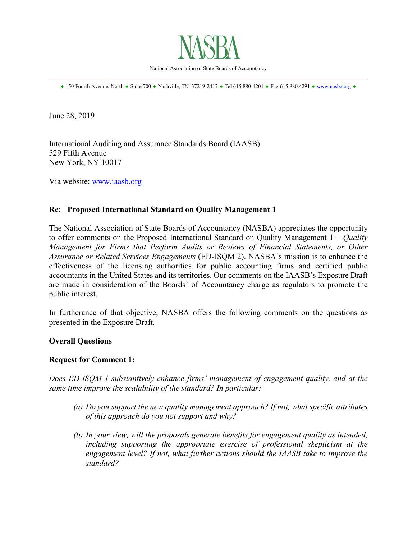

National Association of State Boards of Accountancy \_\_\_\_\_\_\_\_\_\_\_\_\_\_\_\_\_\_\_\_\_\_\_\_\_\_\_\_\_\_\_\_\_\_\_\_\_\_\_\_\_\_\_\_\_\_\_\_\_\_\_\_\_\_\_\_\_\_\_\_\_\_\_\_\_\_\_\_\_\_\_\_\_\_\_\_\_\_

♦ 150 Fourth Avenue, North ♦ Suite 700 ♦ Nashville, TN 37219-2417 ♦ Tel 615.880-4201 ♦ Fax 615.880.4291 ♦ [www.nasba.org](http://www.nasba.org/) ♦

June 28, 2019

International Auditing and Assurance Standards Board (IAASB) 529 Fifth Avenue New York, NY 10017

Via website: [www.iaasb.org](http://www.iaasb.org/)

### **Re: Proposed International Standard on Quality Management 1**

The National Association of State Boards of Accountancy (NASBA) appreciates the opportunity to offer comments on the Proposed International Standard on Quality Management 1 – *Quality Management for Firms that Perform Audits or Reviews of Financial Statements, or Other Assurance or Related Services Engagements* (ED-ISQM 2). NASBA's mission is to enhance the effectiveness of the licensing authorities for public accounting firms and certified public accountants in the United States and its territories. Our comments on the IAASB's Exposure Draft are made in consideration of the Boards' of Accountancy charge as regulators to promote the public interest.

In furtherance of that objective, NASBA offers the following comments on the questions as presented in the Exposure Draft.

### **Overall Questions**

### **Request for Comment 1:**

*Does ED-ISQM 1 substantively enhance firms' management of engagement quality, and at the same time improve the scalability of the standard? In particular:*

- *(a) Do you support the new quality management approach? If not, what specific attributes of this approach do you not support and why?*
- *(b) In your view, will the proposals generate benefits for engagement quality as intended,*  including supporting the appropriate exercise of professional skepticism at the *engagement level? If not, what further actions should the IAASB take to improve the standard?*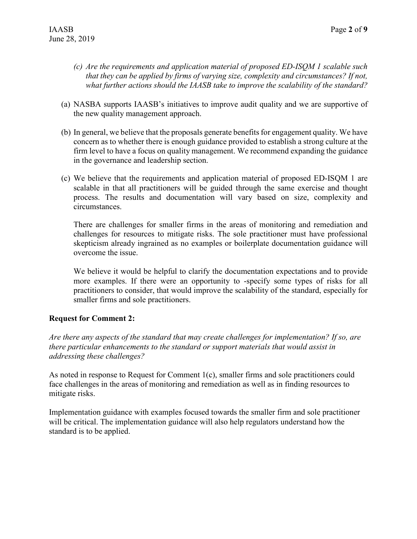- *(c) Are the requirements and application material of proposed ED-ISQM 1 scalable such that they can be applied by firms of varying size, complexity and circumstances? If not, what further actions should the IAASB take to improve the scalability of the standard?*
- (a) NASBA supports IAASB's initiatives to improve audit quality and we are supportive of the new quality management approach.
- (b) In general, we believe that the proposals generate benefits for engagement quality. We have concern as to whether there is enough guidance provided to establish a strong culture at the firm level to have a focus on quality management. We recommend expanding the guidance in the governance and leadership section.
- (c) We believe that the requirements and application material of proposed ED-ISQM 1 are scalable in that all practitioners will be guided through the same exercise and thought process. The results and documentation will vary based on size, complexity and circumstances.

There are challenges for smaller firms in the areas of monitoring and remediation and challenges for resources to mitigate risks. The sole practitioner must have professional skepticism already ingrained as no examples or boilerplate documentation guidance will overcome the issue.

We believe it would be helpful to clarify the documentation expectations and to provide more examples. If there were an opportunity to -specify some types of risks for all practitioners to consider, that would improve the scalability of the standard, especially for smaller firms and sole practitioners.

## **Request for Comment 2:**

*Are there any aspects of the standard that may create challenges for implementation? If so, are there particular enhancements to the standard or support materials that would assist in addressing these challenges?*

As noted in response to Request for Comment 1(c), smaller firms and sole practitioners could face challenges in the areas of monitoring and remediation as well as in finding resources to mitigate risks.

Implementation guidance with examples focused towards the smaller firm and sole practitioner will be critical. The implementation guidance will also help regulators understand how the standard is to be applied.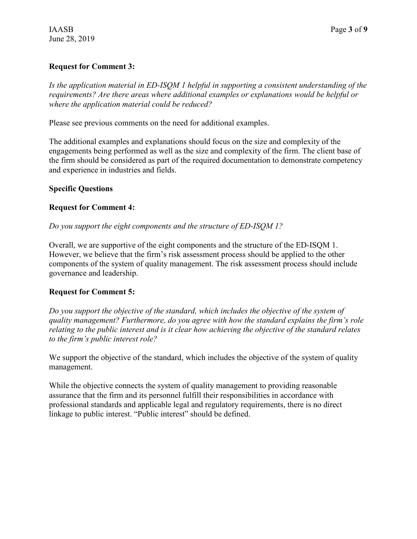# **Request for Comment 3:**

*Is the application material in ED-ISQM 1 helpful in supporting a consistent understanding of the requirements? Are there areas where additional examples or explanations would be helpful or where the application material could be reduced?*

Please see previous comments on the need for additional examples.

The additional examples and explanations should focus on the size and complexity of the engagements being performed as well as the size and complexity of the firm. The client base of the firm should be considered as part of the required documentation to demonstrate competency and experience in industries and fields.

## **Specific Questions**

### **Request for Comment 4:**

*Do you support the eight components and the structure of ED-ISQM 1?*

Overall, we are supportive of the eight components and the structure of the ED-ISQM 1. However, we believe that the firm's risk assessment process should be applied to the other components of the system of quality management. The risk assessment process should include governance and leadership.

## **Request for Comment 5:**

*Do you support the objective of the standard, which includes the objective of the system of quality management? Furthermore, do you agree with how the standard explains the firm's role relating to the public interest and is it clear how achieving the objective of the standard relates to the firm's public interest role?*

We support the objective of the standard, which includes the objective of the system of quality management.

While the objective connects the system of quality management to providing reasonable assurance that the firm and its personnel fulfill their responsibilities in accordance with professional standards and applicable legal and regulatory requirements, there is no direct linkage to public interest. "Public interest" should be defined.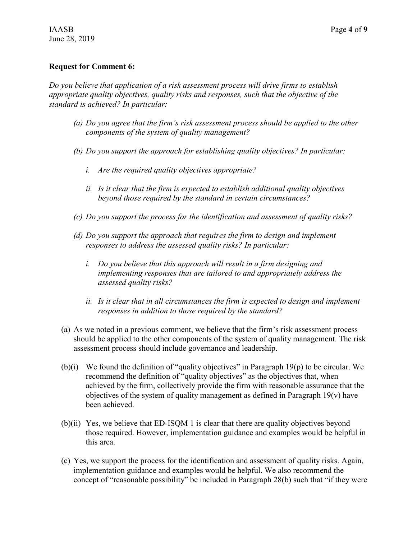#### **Request for Comment 6:**

*Do you believe that application of a risk assessment process will drive firms to establish appropriate quality objectives, quality risks and responses, such that the objective of the standard is achieved? In particular:*

- *(a) Do you agree that the firm's risk assessment process should be applied to the other components of the system of quality management?*
- *(b) Do you support the approach for establishing quality objectives? In particular:*
	- *i. Are the required quality objectives appropriate?*
	- *ii. Is it clear that the firm is expected to establish additional quality objectives beyond those required by the standard in certain circumstances?*
- *(c) Do you support the process for the identification and assessment of quality risks?*
- *(d) Do you support the approach that requires the firm to design and implement responses to address the assessed quality risks? In particular:*
	- *i. Do you believe that this approach will result in a firm designing and implementing responses that are tailored to and appropriately address the assessed quality risks?*
	- *ii. Is it clear that in all circumstances the firm is expected to design and implement responses in addition to those required by the standard?*
- (a) As we noted in a previous comment, we believe that the firm's risk assessment process should be applied to the other components of the system of quality management. The risk assessment process should include governance and leadership.
- (b)(i) We found the definition of "quality objectives" in Paragraph 19(p) to be circular. We recommend the definition of "quality objectives" as the objectives that, when achieved by the firm, collectively provide the firm with reasonable assurance that the objectives of the system of quality management as defined in Paragraph 19(v) have been achieved.
- (b)(ii) Yes, we believe that ED-ISQM 1 is clear that there are quality objectives beyond those required. However, implementation guidance and examples would be helpful in this area.
- (c) Yes, we support the process for the identification and assessment of quality risks. Again, implementation guidance and examples would be helpful. We also recommend the concept of "reasonable possibility" be included in Paragraph 28(b) such that "if they were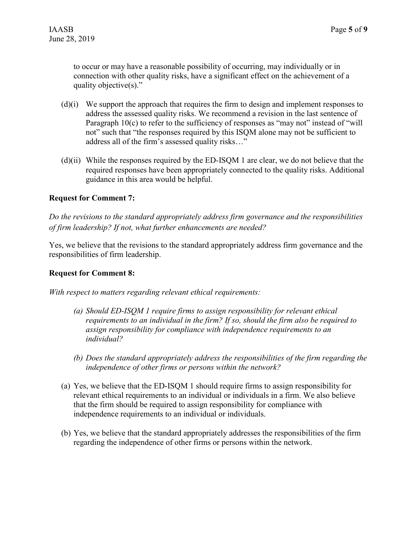to occur or may have a reasonable possibility of occurring, may individually or in connection with other quality risks, have a significant effect on the achievement of a quality objective(s)."

- (d)(i) We support the approach that requires the firm to design and implement responses to address the assessed quality risks. We recommend a revision in the last sentence of Paragraph 10(c) to refer to the sufficiency of responses as "may not" instead of "will not" such that "the responses required by this ISQM alone may not be sufficient to address all of the firm's assessed quality risks…"
- $(d)(ii)$  While the responses required by the ED-ISQM 1 are clear, we do not believe that the required responses have been appropriately connected to the quality risks. Additional guidance in this area would be helpful.

## **Request for Comment 7:**

*Do the revisions to the standard appropriately address firm governance and the responsibilities of firm leadership? If not, what further enhancements are needed?*

Yes, we believe that the revisions to the standard appropriately address firm governance and the responsibilities of firm leadership.

### **Request for Comment 8:**

*With respect to matters regarding relevant ethical requirements:*

- *(a) Should ED-ISQM 1 require firms to assign responsibility for relevant ethical requirements to an individual in the firm? If so, should the firm also be required to assign responsibility for compliance with independence requirements to an individual?*
- *(b) Does the standard appropriately address the responsibilities of the firm regarding the independence of other firms or persons within the network?*
- (a) Yes, we believe that the ED-ISQM 1 should require firms to assign responsibility for relevant ethical requirements to an individual or individuals in a firm. We also believe that the firm should be required to assign responsibility for compliance with independence requirements to an individual or individuals.
- (b) Yes, we believe that the standard appropriately addresses the responsibilities of the firm regarding the independence of other firms or persons within the network.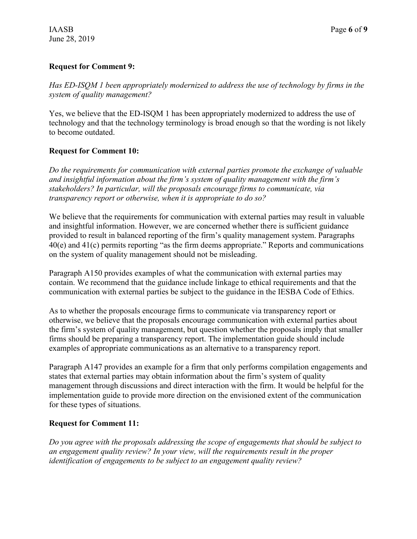## **Request for Comment 9:**

*Has ED-ISQM 1 been appropriately modernized to address the use of technology by firms in the system of quality management?*

Yes, we believe that the ED-ISQM 1 has been appropriately modernized to address the use of technology and that the technology terminology is broad enough so that the wording is not likely to become outdated

### **Request for Comment 10:**

*Do the requirements for communication with external parties promote the exchange of valuable and insightful information about the firm's system of quality management with the firm's stakeholders? In particular, will the proposals encourage firms to communicate, via transparency report or otherwise, when it is appropriate to do so?*

We believe that the requirements for communication with external parties may result in valuable and insightful information. However, we are concerned whether there is sufficient guidance provided to result in balanced reporting of the firm's quality management system. Paragraphs 40(e) and 41(c) permits reporting "as the firm deems appropriate." Reports and communications on the system of quality management should not be misleading.

Paragraph A150 provides examples of what the communication with external parties may contain. We recommend that the guidance include linkage to ethical requirements and that the communication with external parties be subject to the guidance in the IESBA Code of Ethics.

As to whether the proposals encourage firms to communicate via transparency report or otherwise, we believe that the proposals encourage communication with external parties about the firm's system of quality management, but question whether the proposals imply that smaller firms should be preparing a transparency report. The implementation guide should include examples of appropriate communications as an alternative to a transparency report.

Paragraph A147 provides an example for a firm that only performs compilation engagements and states that external parties may obtain information about the firm's system of quality management through discussions and direct interaction with the firm. It would be helpful for the implementation guide to provide more direction on the envisioned extent of the communication for these types of situations.

## **Request for Comment 11:**

*Do you agree with the proposals addressing the scope of engagements that should be subject to an engagement quality review? In your view, will the requirements result in the proper identification of engagements to be subject to an engagement quality review?*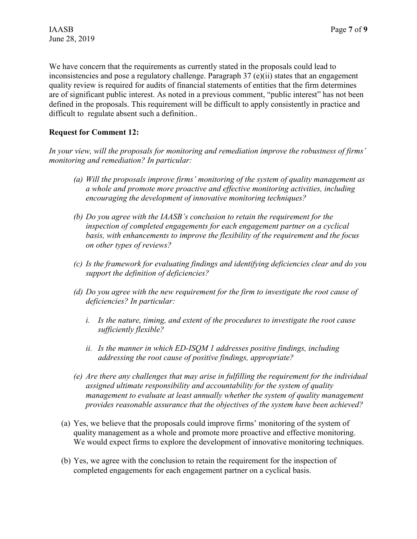We have concern that the requirements as currently stated in the proposals could lead to inconsistencies and pose a regulatory challenge. Paragraph 37 (e)(ii) states that an engagement quality review is required for audits of financial statements of entities that the firm determines are of significant public interest. As noted in a previous comment, "public interest" has not been defined in the proposals. This requirement will be difficult to apply consistently in practice and difficult to regulate absent such a definition..

### **Request for Comment 12:**

*In your view, will the proposals for monitoring and remediation improve the robustness of firms' monitoring and remediation? In particular:*

- *(a) Will the proposals improve firms' monitoring of the system of quality management as a whole and promote more proactive and effective monitoring activities, including encouraging the development of innovative monitoring techniques?*
- *(b) Do you agree with the IAASB's conclusion to retain the requirement for the inspection of completed engagements for each engagement partner on a cyclical basis, with enhancements to improve the flexibility of the requirement and the focus on other types of reviews?*
- *(c) Is the framework for evaluating findings and identifying deficiencies clear and do you support the definition of deficiencies?*
- *(d) Do you agree with the new requirement for the firm to investigate the root cause of deficiencies? In particular:*
	- *i. Is the nature, timing, and extent of the procedures to investigate the root cause sufficiently flexible?*
	- *ii. Is the manner in which ED-ISQM 1 addresses positive findings, including addressing the root cause of positive findings, appropriate?*
- *(e) Are there any challenges that may arise in fulfilling the requirement for the individual assigned ultimate responsibility and accountability for the system of quality management to evaluate at least annually whether the system of quality management provides reasonable assurance that the objectives of the system have been achieved?*
- (a) Yes, we believe that the proposals could improve firms' monitoring of the system of quality management as a whole and promote more proactive and effective monitoring. We would expect firms to explore the development of innovative monitoring techniques.
- (b) Yes, we agree with the conclusion to retain the requirement for the inspection of completed engagements for each engagement partner on a cyclical basis.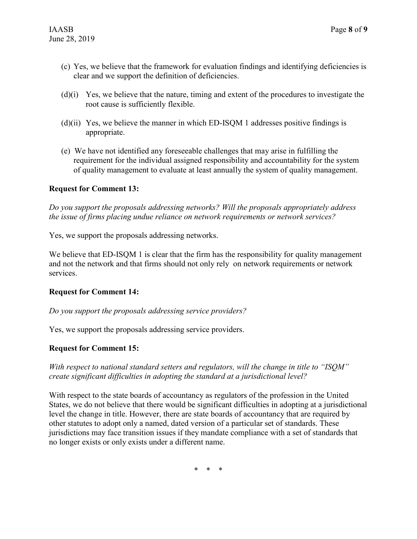- (c) Yes, we believe that the framework for evaluation findings and identifying deficiencies is clear and we support the definition of deficiencies.
- (d)(i) Yes, we believe that the nature, timing and extent of the procedures to investigate the root cause is sufficiently flexible.
- $(d)(ii)$  Yes, we believe the manner in which ED-ISQM 1 addresses positive findings is appropriate.
- (e) We have not identified any foreseeable challenges that may arise in fulfilling the requirement for the individual assigned responsibility and accountability for the system of quality management to evaluate at least annually the system of quality management.

### **Request for Comment 13:**

*Do you support the proposals addressing networks? Will the proposals appropriately address the issue of firms placing undue reliance on network requirements or network services?*

Yes, we support the proposals addressing networks.

We believe that ED-ISQM 1 is clear that the firm has the responsibility for quality management and not the network and that firms should not only rely on network requirements or network services.

### **Request for Comment 14:**

### *Do you support the proposals addressing service providers?*

Yes, we support the proposals addressing service providers.

### **Request for Comment 15:**

*With respect to national standard setters and regulators, will the change in title to "ISQM" create significant difficulties in adopting the standard at a jurisdictional level?*

With respect to the state boards of accountancy as regulators of the profession in the United States, we do not believe that there would be significant difficulties in adopting at a jurisdictional level the change in title. However, there are state boards of accountancy that are required by other statutes to adopt only a named, dated version of a particular set of standards. These jurisdictions may face transition issues if they mandate compliance with a set of standards that no longer exists or only exists under a different name.

\* \* \*